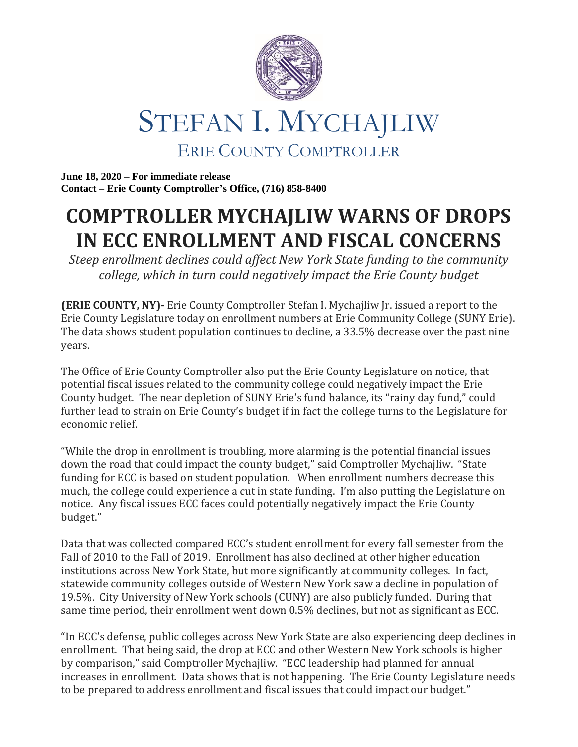

## STEFAN I. MYCHAJLIW ERIE COUNTY COMPTROLLER

**June 18, 2020 – For immediate release Contact – Erie County Comptroller's Office, (716) 858-8400**

## **COMPTROLLER MYCHAJLIW WARNS OF DROPS IN ECC ENROLLMENT AND FISCAL CONCERNS**

*Steep enrollment declines could affect New York State funding to the community college, which in turn could negatively impact the Erie County budget*

**(ERIE COUNTY, NY)-** Erie County Comptroller Stefan I. Mychajliw Jr. issued a report to the Erie County Legislature today on enrollment numbers at Erie Community College (SUNY Erie). The data shows student population continues to decline, a 33.5% decrease over the past nine years.

The Office of Erie County Comptroller also put the Erie County Legislature on notice, that potential fiscal issues related to the community college could negatively impact the Erie County budget. The near depletion of SUNY Erie's fund balance, its "rainy day fund," could further lead to strain on Erie County's budget if in fact the college turns to the Legislature for economic relief.

"While the drop in enrollment is troubling, more alarming is the potential financial issues down the road that could impact the county budget," said Comptroller Mychajliw. "State funding for ECC is based on student population. When enrollment numbers decrease this much, the college could experience a cut in state funding. I'm also putting the Legislature on notice. Any fiscal issues ECC faces could potentially negatively impact the Erie County budget."

Data that was collected compared ECC's student enrollment for every fall semester from the Fall of 2010 to the Fall of 2019. Enrollment has also declined at other higher education institutions across New York State, but more significantly at community colleges. In fact, statewide community colleges outside of Western New York saw a decline in population of 19.5%. City University of New York schools (CUNY) are also publicly funded. During that same time period, their enrollment went down 0.5% declines, but not as significant as ECC.

"In ECC's defense, public colleges across New York State are also experiencing deep declines in enrollment. That being said, the drop at ECC and other Western New York schools is higher by comparison," said Comptroller Mychajliw. "ECC leadership had planned for annual increases in enrollment. Data shows that is not happening. The Erie County Legislature needs to be prepared to address enrollment and fiscal issues that could impact our budget."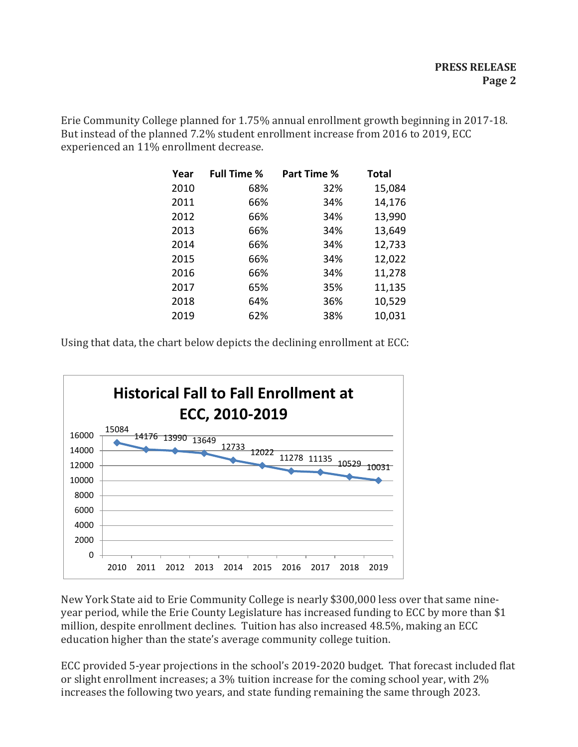Erie Community College planned for 1.75% annual enrollment growth beginning in 2017-18. But instead of the planned 7.2% student enrollment increase from 2016 to 2019, ECC experienced an 11% enrollment decrease.

| Year | <b>Full Time %</b> | Part Time % | <b>Total</b> |
|------|--------------------|-------------|--------------|
| 2010 | 68%                | 32%         | 15,084       |
| 2011 | 66%                | 34%         | 14,176       |
| 2012 | 66%                | 34%         | 13,990       |
| 2013 | 66%                | 34%         | 13,649       |
| 2014 | 66%                | 34%         | 12,733       |
| 2015 | 66%                | 34%         | 12,022       |
| 2016 | 66%                | 34%         | 11,278       |
| 2017 | 65%                | 35%         | 11,135       |
| 2018 | 64%                | 36%         | 10,529       |
| 2019 | 62%                | 38%         | 10,031       |

Using that data, the chart below depicts the declining enrollment at ECC:



New York State aid to Erie Community College is nearly \$300,000 less over that same nineyear period, while the Erie County Legislature has increased funding to ECC by more than \$1 million, despite enrollment declines. Tuition has also increased 48.5%, making an ECC education higher than the state's average community college tuition.

ECC provided 5-year projections in the school's 2019-2020 budget. That forecast included flat or slight enrollment increases; a 3% tuition increase for the coming school year, with 2% increases the following two years, and state funding remaining the same through 2023.